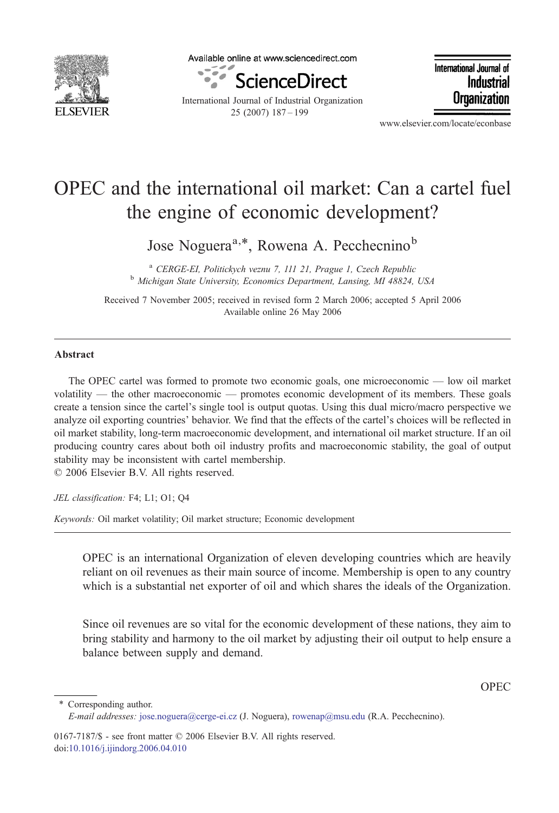

Available online at www.sciencedirect.com



International Journal of Industrial Organization 25 (2007) 187–199

International Journal of Industrial Organization

www.elsevier.com/locate/econbase

## OPEC and the international oil market: Can a cartel fuel the engine of economic development?

Jose Noguera<sup>a,\*</sup>, Rowena A. Pecchecnino<sup>b</sup>

<sup>a</sup> CERGE-EI, Politickych veznu 7, 111 21, Prague 1, Czech Republic b Michigan State University, Economics Department, Lansing, MI 48824, USA

Received 7 November 2005; received in revised form 2 March 2006; accepted 5 April 2006 Available online 26 May 2006

## Abstract

The OPEC cartel was formed to promote two economic goals, one microeconomic — low oil market volatility — the other macroeconomic — promotes economic development of its members. These goals create a tension since the cartel's single tool is output quotas. Using this dual micro/macro perspective we analyze oil exporting countries' behavior. We find that the effects of the cartel's choices will be reflected in oil market stability, long-term macroeconomic development, and international oil market structure. If an oil producing country cares about both oil industry profits and macroeconomic stability, the goal of output stability may be inconsistent with cartel membership.

© 2006 Elsevier B.V. All rights reserved.

JEL classification: F4; L1; O1; Q4

Keywords: Oil market volatility; Oil market structure; Economic development

OPEC is an international Organization of eleven developing countries which are heavily reliant on oil revenues as their main source of income. Membership is open to any country which is a substantial net exporter of oil and which shares the ideals of the Organization.

Since oil revenues are so vital for the economic development of these nations, they aim to bring stability and harmony to the oil market by adjusting their oil output to help ensure a balance between supply and demand.

OPEC

⁎ Corresponding author. E-mail addresses: [jose.noguera@cerge-ei.cz](mailto:jose.noguera@cergei.cz) (J. Noguera), [rowenap@msu.edu](mailto:rowenap@msu.edu) (R.A. Pecchecnino).

0167-7187/\$ - see front matter © 2006 Elsevier B.V. All rights reserved. doi:[10.1016/j.ijindorg.2006.04.010](http://dx.doi.org/10.1016/j.ijindorg.2006.04.010)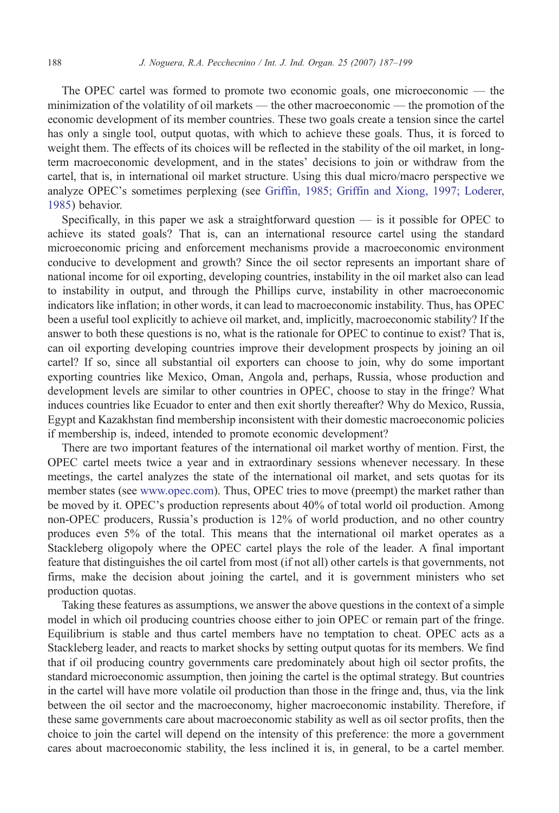The OPEC cartel was formed to promote two economic goals, one microeconomic — the minimization of the volatility of oil markets — the other macroeconomic — the promotion of the economic development of its member countries. These two goals create a tension since the cartel has only a single tool, output quotas, with which to achieve these goals. Thus, it is forced to weight them. The effects of its choices will be reflected in the stability of the oil market, in longterm macroeconomic development, and in the states' decisions to join or withdraw from the cartel, that is, in international oil market structure. Using this dual micro/macro perspective we analyze OPEC's sometimes perplexing (see [Griffin, 1985; Griffin and Xiong, 1997; Loderer,](#page--1-0) [1985\)](#page--1-0) behavior.

Specifically, in this paper we ask a straightforward question — is it possible for OPEC to achieve its stated goals? That is, can an international resource cartel using the standard microeconomic pricing and enforcement mechanisms provide a macroeconomic environment conducive to development and growth? Since the oil sector represents an important share of national income for oil exporting, developing countries, instability in the oil market also can lead to instability in output, and through the Phillips curve, instability in other macroeconomic indicators like inflation; in other words, it can lead to macroeconomic instability. Thus, has OPEC been a useful tool explicitly to achieve oil market, and, implicitly, macroeconomic stability? If the answer to both these questions is no, what is the rationale for OPEC to continue to exist? That is, can oil exporting developing countries improve their development prospects by joining an oil cartel? If so, since all substantial oil exporters can choose to join, why do some important exporting countries like Mexico, Oman, Angola and, perhaps, Russia, whose production and development levels are similar to other countries in OPEC, choose to stay in the fringe? What induces countries like Ecuador to enter and then exit shortly thereafter? Why do Mexico, Russia, Egypt and Kazakhstan find membership inconsistent with their domestic macroeconomic policies if membership is, indeed, intended to promote economic development?

There are two important features of the international oil market worthy of mention. First, the OPEC cartel meets twice a year and in extraordinary sessions whenever necessary. In these meetings, the cartel analyzes the state of the international oil market, and sets quotas for its member states (see [www.opec.com\)](mailto:jose.noguera@cergei.cz). Thus, OPEC tries to move (preempt) the market rather than be moved by it. OPEC's production represents about 40% of total world oil production. Among non-OPEC producers, Russia's production is 12% of world production, and no other country produces even 5% of the total. This means that the international oil market operates as a Stackleberg oligopoly where the OPEC cartel plays the role of the leader. A final important feature that distinguishes the oil cartel from most (if not all) other cartels is that governments, not firms, make the decision about joining the cartel, and it is government ministers who set production quotas.

Taking these features as assumptions, we answer the above questions in the context of a simple model in which oil producing countries choose either to join OPEC or remain part of the fringe. Equilibrium is stable and thus cartel members have no temptation to cheat. OPEC acts as a Stackleberg leader, and reacts to market shocks by setting output quotas for its members. We find that if oil producing country governments care predominately about high oil sector profits, the standard microeconomic assumption, then joining the cartel is the optimal strategy. But countries in the cartel will have more volatile oil production than those in the fringe and, thus, via the link between the oil sector and the macroeconomy, higher macroeconomic instability. Therefore, if these same governments care about macroeconomic stability as well as oil sector profits, then the choice to join the cartel will depend on the intensity of this preference: the more a government cares about macroeconomic stability, the less inclined it is, in general, to be a cartel member.